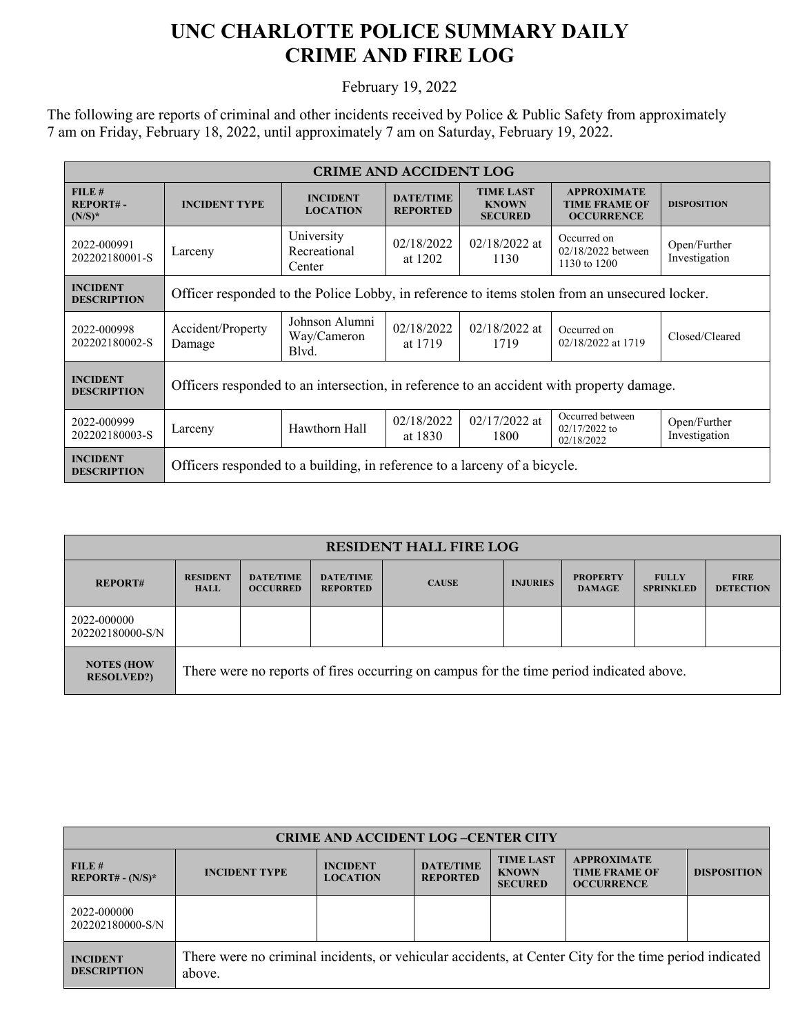## **UNC CHARLOTTE POLICE SUMMARY DAILY CRIME AND FIRE LOG**

February 19, 2022

The following are reports of criminal and other incidents received by Police & Public Safety from approximately 7 am on Friday, February 18, 2022, until approximately 7 am on Saturday, February 19, 2022.

| <b>CRIME AND ACCIDENT LOG</b>         |                                                                                               |                                        |                                     |                                                    |                                                                 |                               |  |
|---------------------------------------|-----------------------------------------------------------------------------------------------|----------------------------------------|-------------------------------------|----------------------------------------------------|-----------------------------------------------------------------|-------------------------------|--|
| FILE#<br><b>REPORT#-</b><br>$(N/S)^*$ | <b>INCIDENT TYPE</b>                                                                          | <b>INCIDENT</b><br><b>LOCATION</b>     | <b>DATE/TIME</b><br><b>REPORTED</b> | <b>TIME LAST</b><br><b>KNOWN</b><br><b>SECURED</b> | <b>APPROXIMATE</b><br><b>TIME FRAME OF</b><br><b>OCCURRENCE</b> | <b>DISPOSITION</b>            |  |
| 2022-000991<br>202202180001-S         | Larceny                                                                                       | University<br>Recreational<br>Center   | 02/18/2022<br>at 1202               | $02/18/2022$ at<br>1130                            | Occurred on<br>02/18/2022 between<br>1130 to 1200               | Open/Further<br>Investigation |  |
| <b>INCIDENT</b><br><b>DESCRIPTION</b> | Officer responded to the Police Lobby, in reference to items stolen from an unsecured locker. |                                        |                                     |                                                    |                                                                 |                               |  |
| 2022-000998<br>202202180002-S         | Accident/Property<br>Damage                                                                   | Johnson Alumni<br>Way/Cameron<br>Blvd. | 02/18/2022<br>at 1719               | $02/18/2022$ at<br>1719                            | Occurred on<br>02/18/2022 at 1719                               | Closed/Cleared                |  |
| <b>INCIDENT</b><br><b>DESCRIPTION</b> | Officers responded to an intersection, in reference to an accident with property damage.      |                                        |                                     |                                                    |                                                                 |                               |  |
| 2022-000999<br>202202180003-S         | Larceny                                                                                       | Hawthorn Hall                          | 02/18/2022<br>at 1830               | $02/17/2022$ at<br>1800                            | Occurred between<br>$02/17/2022$ to<br>02/18/2022               | Open/Further<br>Investigation |  |
| <b>INCIDENT</b><br><b>DESCRIPTION</b> | Officers responded to a building, in reference to a larceny of a bicycle.                     |                                        |                                     |                                                    |                                                                 |                               |  |

| <b>RESIDENT HALL FIRE LOG</b>          |                                                                                         |                                     |                                     |              |                 |                                  |                                  |                                 |
|----------------------------------------|-----------------------------------------------------------------------------------------|-------------------------------------|-------------------------------------|--------------|-----------------|----------------------------------|----------------------------------|---------------------------------|
| <b>REPORT#</b>                         | <b>RESIDENT</b><br><b>HALL</b>                                                          | <b>DATE/TIME</b><br><b>OCCURRED</b> | <b>DATE/TIME</b><br><b>REPORTED</b> | <b>CAUSE</b> | <b>INJURIES</b> | <b>PROPERTY</b><br><b>DAMAGE</b> | <b>FULLY</b><br><b>SPRINKLED</b> | <b>FIRE</b><br><b>DETECTION</b> |
| 2022-000000<br>202202180000-S/N        |                                                                                         |                                     |                                     |              |                 |                                  |                                  |                                 |
| <b>NOTES (HOW</b><br><b>RESOLVED?)</b> | There were no reports of fires occurring on campus for the time period indicated above. |                                     |                                     |              |                 |                                  |                                  |                                 |

| <b>CRIME AND ACCIDENT LOG-CENTER CITY</b> |                                                                                                                  |                                    |                                     |                                                    |                                                                 |                    |  |
|-------------------------------------------|------------------------------------------------------------------------------------------------------------------|------------------------------------|-------------------------------------|----------------------------------------------------|-----------------------------------------------------------------|--------------------|--|
| FILE#<br>$REPORT# - (N/S)*$               | <b>INCIDENT TYPE</b>                                                                                             | <b>INCIDENT</b><br><b>LOCATION</b> | <b>DATE/TIME</b><br><b>REPORTED</b> | <b>TIME LAST</b><br><b>KNOWN</b><br><b>SECURED</b> | <b>APPROXIMATE</b><br><b>TIME FRAME OF</b><br><b>OCCURRENCE</b> | <b>DISPOSITION</b> |  |
| 2022-000000<br>202202180000-S/N           |                                                                                                                  |                                    |                                     |                                                    |                                                                 |                    |  |
| <b>INCIDENT</b><br><b>DESCRIPTION</b>     | There were no criminal incidents, or vehicular accidents, at Center City for the time period indicated<br>above. |                                    |                                     |                                                    |                                                                 |                    |  |